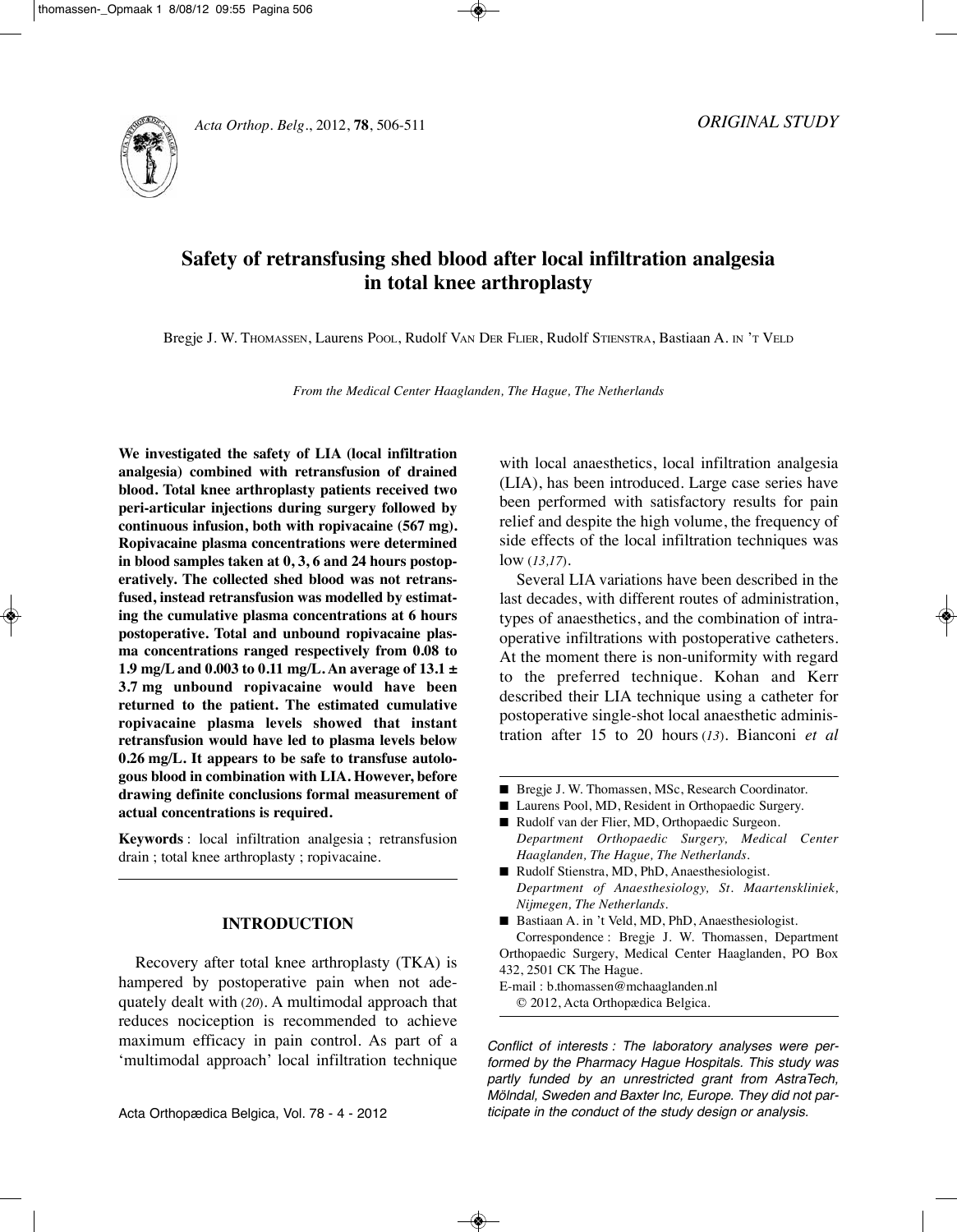



# **Safety of retransfusing shed blood after local infiltration analgesia in total knee arthroplasty**

Bregje J. W. THOMASSEn, Laurens POOL, Rudolf VAn DER FLiER, Rudolf STiEnSTRA, Bastiaan A. in 'T VELD

*From the Medical Center Haaglanden, The Hague, The Netherlands*

**We investigated the safety of LIA (local infiltration analgesia) combined with retransfusion of drained blood. Total knee arthroplasty patients received two peri-articular injections during surgery followed by continuous infusion, both with ropivacaine (567 mg). Ropivacaine plasma concentrations were determined in blood samples taken at 0, 3, 6 and 24 hours postoperatively. The collected shed blood was not retransfused, instead retransfusion was modelled by estimating the cumulative plasma concentrations at 6 hours postoperative. Total and unbound ropivacaine plasma concentrations ranged respectively from 0.08 to 1.9 mg/L and 0.003 to 0.11 mg/L. An average of 13.1 ± 3.7 mg unbound ropivacaine would have been returned to the patient. The estimated cumulative ropivacaine plasma levels showed that instant retransfusion would have led to plasma levels below 0.26 mg/L. It appears to be safe to transfuse autologous blood in combination with LIA. However, before drawing definite conclusions formal measurement of actual concentrations is required.**

**Keywords** : local infiltration analgesia ; retransfusion drain ; total knee arthroplasty ; ropivacaine.

## **INTRODUCTION**

Recovery after total knee arthroplasty (TKA) is hampered by postoperative pain when not adequately dealt with (*20*). A multimodal approach that reduces nociception is recommended to achieve maximum efficacy in pain control. As part of a 'multimodal approach' local infiltration technique with local anaesthetics, local infiltration analgesia (LiA), has been introduced. Large case series have been performed with satisfactory results for pain relief and despite the high volume, the frequency of side effects of the local infiltration techniques was low (*13,17*).

Several LiA variations have been described in the last decades, with different routes of administration, types of anaesthetics, and the combination of intraoperative infiltrations with postoperative catheters. At the moment there is non-uniformity with regard to the preferred technique. Kohan and Kerr described their LiA technique using a catheter for postoperative single-shot local anaesthetic administration after 15 to 20 hours (*13*). Bianconi *et al*

- Bregje J. W. Thomassen, MSc, Research Coordinator.
- Laurens Pool, MD, Resident in Orthopaedic Surgery.
- Rudolf van der Flier, MD, Orthopaedic Surgeon. *Department Orthopaedic Surgery, Medical Center Haaglanden, The Hague, The Netherlands.*
- Rudolf Stienstra, MD, PhD, Anaesthesiologist. *Department of Anaesthesiology, St. Maartenskliniek, Nijmegen, The Netherlands.*
- Bastiaan A. in 't Veld, MD, PhD, Anaesthesiologist. Correspondence : Bregje J. W. Thomassen, Department Orthopaedic Surgery, Medical Center Haaglanden, PO Box 432, 2501 CK The Hague.

E-mail : b.thomassen@mchaaglanden.nl © 2012, Acta Orthopædica Belgica.

Conflict of interests : The laboratory analyses were performed by the Pharmacy Hague Hospitals. This study was partly funded by an unrestricted grant from AstraTech, Mölndal, Sweden and Baxter Inc, Europe. They did not participate in the conduct of the study design or analysis.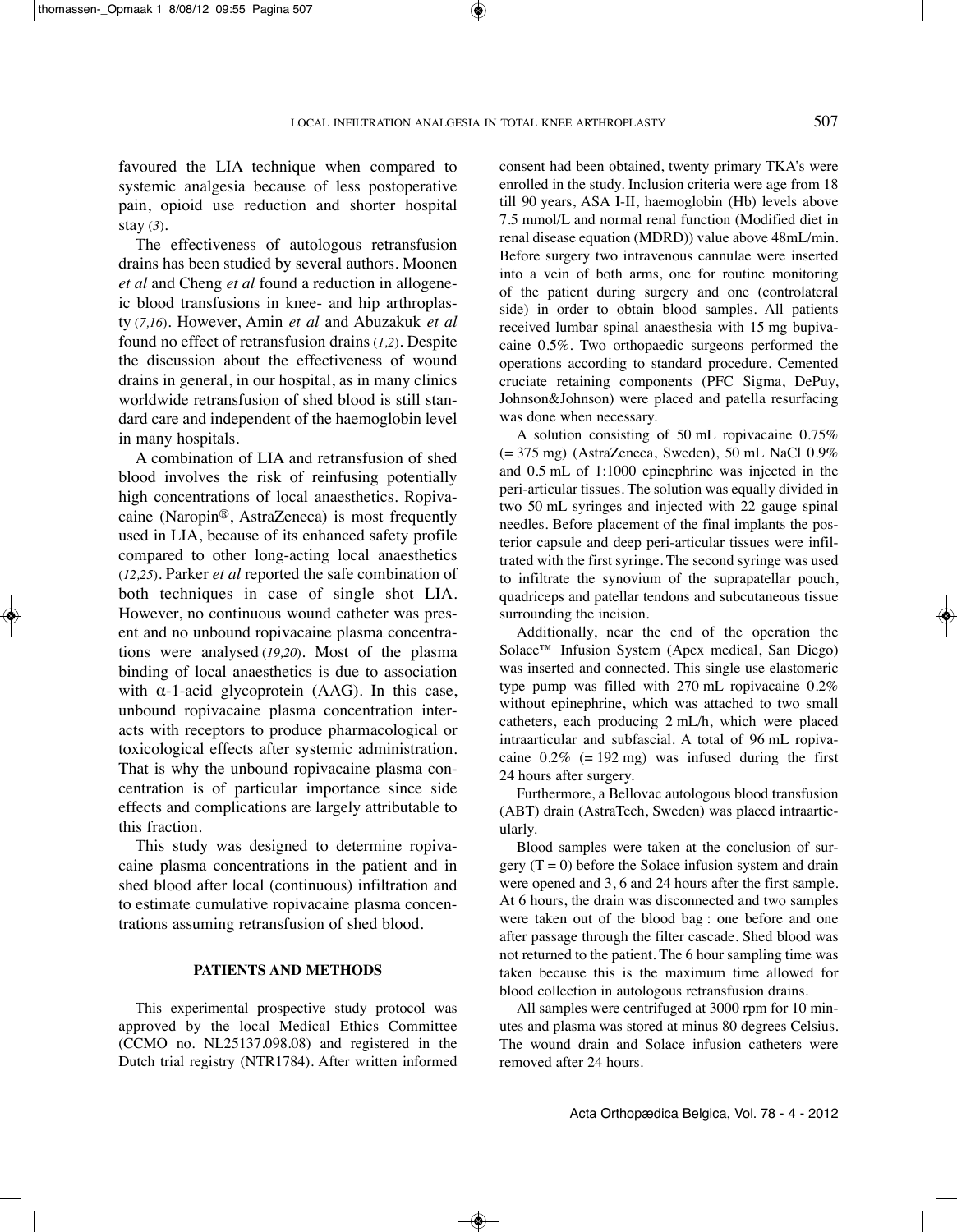favoured the LiA technique when compared to systemic analgesia because of less postoperative pain, opioid use reduction and shorter hospital stay (*3*).

The effectiveness of autologous retransfusion drains has been studied by several authors. Moonen *et al* and Cheng *et al* found a reduction in allogeneic blood transfusions in knee- and hip arthroplasty (*7,16*). However, Amin *et al* and Abuzakuk *et al* found no effect of retransfusion drains (*1,2*). Despite the discussion about the effectiveness of wound drains in general, in our hospital, as in many clinics worldwide retransfusion of shed blood is still standard care and independent of the haemoglobin level in many hospitals.

A combination of LiA and retransfusion of shed blood involves the risk of reinfusing potentially high concentrations of local anaesthetics. Ropivacaine (Naropin®, AstraZeneca) is most frequently used in LiA, because of its enhanced safety profile compared to other long-acting local anaesthetics (*12,25*). Parker *et al* reported the safe combination of both techniques in case of single shot LiA. However, no continuous wound catheter was present and no unbound ropivacaine plasma concentrations were analysed (*19,20*). Most of the plasma binding of local anaesthetics is due to association with  $\alpha$ -1-acid glycoprotein (AAG). In this case, unbound ropivacaine plasma concentration interacts with receptors to produce pharmacological or toxicological effects after systemic administration. That is why the unbound ropivacaine plasma concentration is of particular importance since side effects and complications are largely attributable to this fraction.

This study was designed to determine ropivacaine plasma concentrations in the patient and in shed blood after local (continuous) infiltration and to estimate cumulative ropivacaine plasma concentrations assuming retransfusion of shed blood.

#### **PATIENTS AND METHODS**

This experimental prospective study protocol was approved by the local Medical Ethics Committee (CCMO no. nL25137.098.08) and registered in the Dutch trial registry (nTR1784). After written informed consent had been obtained, twenty primary TKA's were enrolled in the study. Inclusion criteria were age from 18 till 90 years, ASA I-II, haemoglobin (Hb) levels above 7.5 mmol/L and normal renal function (Modified diet in renal disease equation (MDRD)) value above 48mL/min. Before surgery two intravenous cannulae were inserted into a vein of both arms, one for routine monitoring of the patient during surgery and one (controlateral side) in order to obtain blood samples. All patients received lumbar spinal anaesthesia with 15 mg bupivacaine 0.5%. Two orthopaedic surgeons performed the operations according to standard procedure. Cemented cruciate retaining components (PFC Sigma, DePuy, Johnson&Johnson) were placed and patella resurfacing was done when necessary.

A solution consisting of 50 mL ropivacaine 0.75%  $(= 375 \text{ mg})$  (AstraZeneca, Sweden), 50 mL NaCl 0.9% and 0.5 mL of 1:1000 epinephrine was injected in the peri-articular tissues. The solution was equally divided in two 50 mL syringes and injected with 22 gauge spinal needles. Before placement of the final implants the posterior capsule and deep peri-articular tissues were infiltrated with the first syringe. The second syringe was used to infiltrate the synovium of the suprapatellar pouch, quadriceps and patellar tendons and subcutaneous tissue surrounding the incision.

Additionally, near the end of the operation the Solace™ infusion System (Apex medical, San Diego) was inserted and connected. This single use elastomeric type pump was filled with 270 mL ropivacaine 0.2% without epinephrine, which was attached to two small catheters, each producing 2 mL/h, which were placed intraarticular and subfascial. A total of 96 mL ropivacaine  $0.2\%$  (= 192 mg) was infused during the first 24 hours after surgery.

Furthermore, a Bellovac autologous blood transfusion (ABT) drain (AstraTech, Sweden) was placed intraarticularly.

Blood samples were taken at the conclusion of surgery  $(T = 0)$  before the Solace infusion system and drain were opened and 3, 6 and 24 hours after the first sample. At 6 hours, the drain was disconnected and two samples were taken out of the blood bag : one before and one after passage through the filter cascade. Shed blood was not returned to the patient. The 6 hour sampling time was taken because this is the maximum time allowed for blood collection in autologous retransfusion drains.

All samples were centrifuged at 3000 rpm for 10 minutes and plasma was stored at minus 80 degrees Celsius. The wound drain and Solace infusion catheters were removed after 24 hours.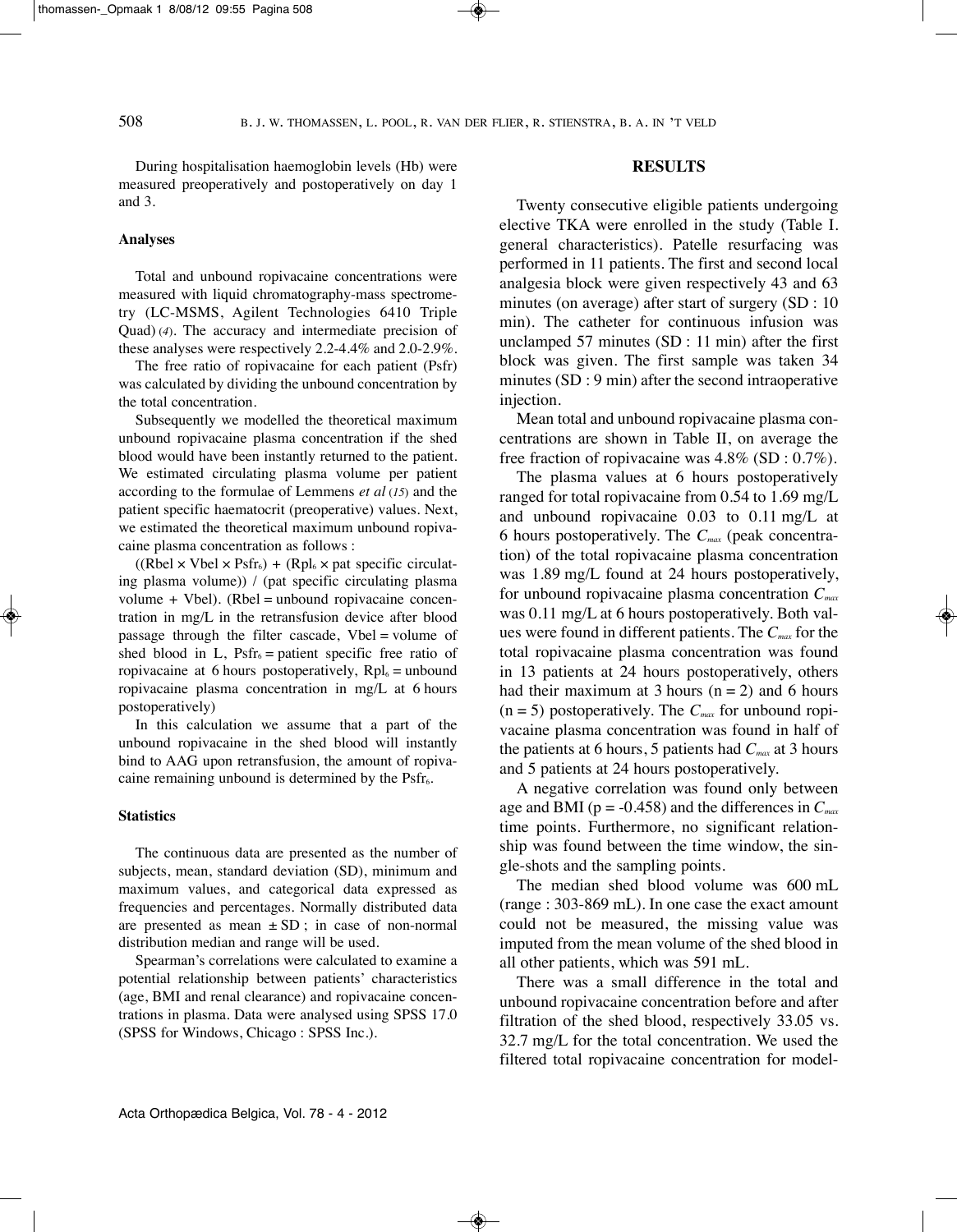During hospitalisation haemoglobin levels (Hb) were measured preoperatively and postoperatively on day 1 and 3.

#### **Analyses**

Total and unbound ropivacaine concentrations were measured with liquid chromatography-mass spectrometry (LC-MSMS, Agilent Technologies 6410 Triple Quad) (*4*). The accuracy and intermediate precision of these analyses were respectively 2.2-4.4% and 2.0-2.9%.

The free ratio of ropivacaine for each patient (Psfr) was calculated by dividing the unbound concentration by the total concentration.

Subsequently we modelled the theoretical maximum unbound ropivacaine plasma concentration if the shed blood would have been instantly returned to the patient. We estimated circulating plasma volume per patient according to the formulae of Lemmens *et al* (*15*) and the patient specific haematocrit (preoperative) values. Next, we estimated the theoretical maximum unbound ropivacaine plasma concentration as follows :

 $((Rbel \times Vbel \times Psfr<sub>6</sub>) + (Rpl<sub>6</sub> \times pat specific circular$ ing plasma volume)) / (pat specific circulating plasma volume  $+$  Vbel). (Rbel = unbound ropivacaine concentration in mg/L in the retransfusion device after blood passage through the filter cascade, Vbel = volume of shed blood in L,  $Psfr_6 =$  patient specific free ratio of ropivacaine at 6 hours postoperatively,  $Rpl_6 =$  unbound ropivacaine plasma concentration in mg/L at 6 hours postoperatively)

In this calculation we assume that a part of the unbound ropivacaine in the shed blood will instantly bind to AAG upon retransfusion, the amount of ropivacaine remaining unbound is determined by the  $Psfr<sub>6</sub>$ .

#### **Statistics**

The continuous data are presented as the number of subjects, mean, standard deviation (SD), minimum and maximum values, and categorical data expressed as frequencies and percentages. Normally distributed data are presented as mean  $\pm SD$ ; in case of non-normal distribution median and range will be used.

Spearman's correlations were calculated to examine a potential relationship between patients' characteristics (age, BMi and renal clearance) and ropivacaine concentrations in plasma. Data were analysed using SPSS 17.0 (SPSS for Windows, Chicago : SPSS inc.).

### **RESULTS**

Twenty consecutive eligible patients undergoing elective TKA were enrolled in the study (Table I. general characteristics). Patelle resurfacing was performed in 11 patients. The first and second local analgesia block were given respectively 43 and 63 minutes (on average) after start of surgery (SD : 10 min). The catheter for continuous infusion was unclamped 57 minutes (SD : 11 min) after the first block was given. The first sample was taken 34 minutes (SD : 9 min) after the second intraoperative injection.

Mean total and unbound ropivacaine plasma concentrations are shown in Table II, on average the free fraction of ropivacaine was 4.8% (SD : 0.7%).

The plasma values at 6 hours postoperatively ranged for total ropivacaine from 0.54 to 1.69 mg/L and unbound ropivacaine 0.03 to 0.11 mg/L at 6 hours postoperatively. The *Cmax* (peak concentration) of the total ropivacaine plasma concentration was 1.89 mg/L found at 24 hours postoperatively, for unbound ropivacaine plasma concentration *Cmax* was 0.11 mg/L at 6 hours postoperatively. Both values were found in different patients. The *Cmax* for the total ropivacaine plasma concentration was found in 13 patients at 24 hours postoperatively, others had their maximum at 3 hours ( $n = 2$ ) and 6 hours  $(n = 5)$  postoperatively. The  $C_{max}$  for unbound ropivacaine plasma concentration was found in half of the patients at 6 hours, 5 patients had *Cmax* at 3 hours and 5 patients at 24 hours postoperatively.

A negative correlation was found only between age and BMI ( $p = -0.458$ ) and the differences in  $C_{max}$ time points. Furthermore, no significant relationship was found between the time window, the single-shots and the sampling points.

The median shed blood volume was 600 mL (range : 303-869 mL). in one case the exact amount could not be measured, the missing value was imputed from the mean volume of the shed blood in all other patients, which was 591 mL.

There was a small difference in the total and unbound ropivacaine concentration before and after filtration of the shed blood, respectively 33.05 vs. 32.7 mg/L for the total concentration. We used the filtered total ropivacaine concentration for model-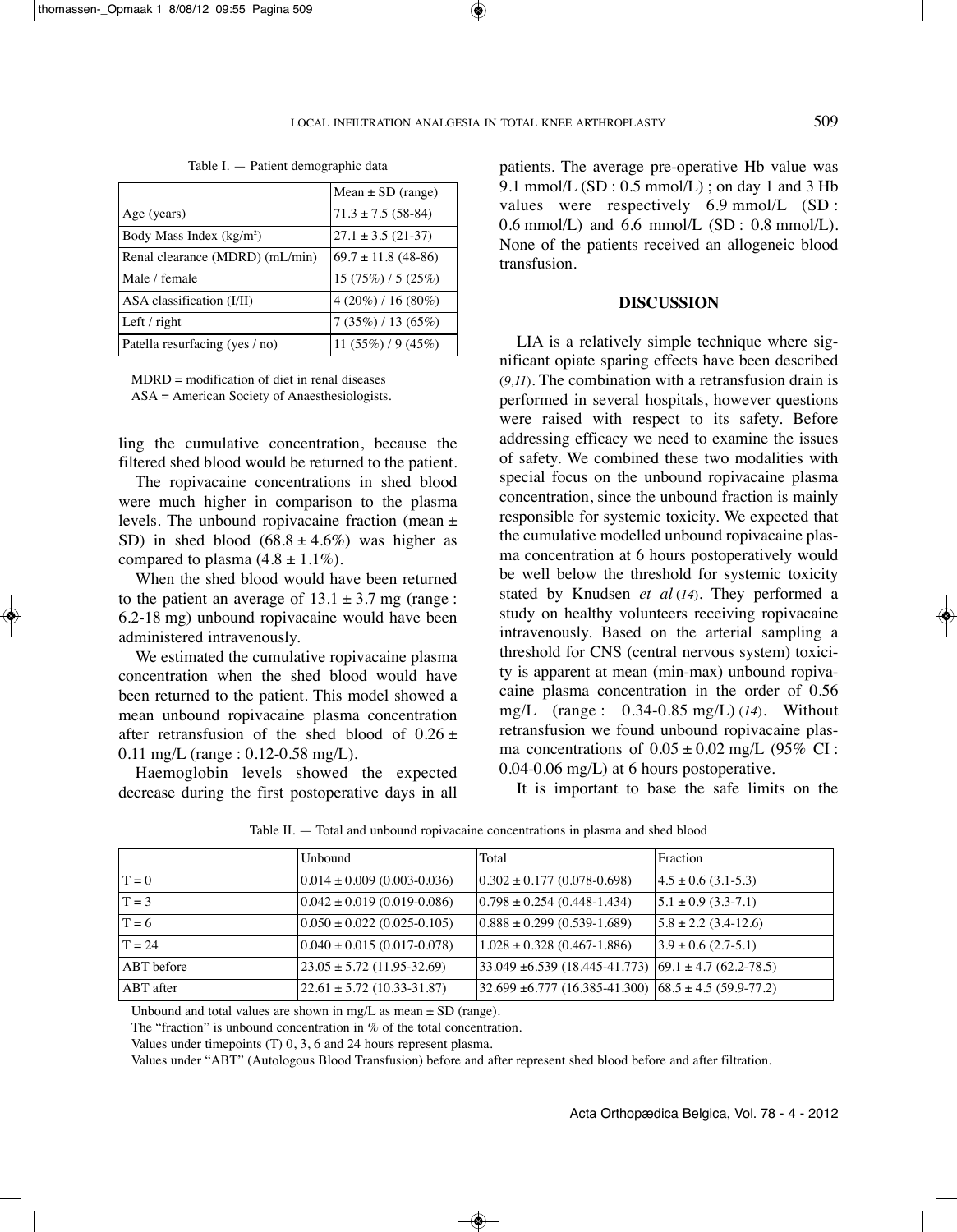|                                 | Mean $\pm$ SD (range)    |  |
|---------------------------------|--------------------------|--|
| Age (years)                     | $71.3 \pm 7.5$ (58-84)   |  |
| Body Mass Index $(kg/m2)$       | $27.1 \pm 3.5$ (21-37)   |  |
| Renal clearance (MDRD) (mL/min) | $69.7 \pm 11.8$ (48-86)  |  |
| Male / female                   | $15(75\%)/5(25\%)$       |  |
| ASA classification (I/II)       | $4(20\%)/16(80\%)$       |  |
| Left $/$ right                  | $7(35\%)$ / 13 (65%)     |  |
| Patella resurfacing (yes / no)  | 11 $(55\%)$ / 9 $(45\%)$ |  |

Table I. — Patient demographic data

 $MDRD =$  modification of diet in renal diseases

ASA = American Society of Anaesthesiologists.

ling the cumulative concentration, because the filtered shed blood would be returned to the patient.

The ropivacaine concentrations in shed blood were much higher in comparison to the plasma levels. The unbound ropivacaine fraction (mean ± SD) in shed blood  $(68.8 \pm 4.6\%)$  was higher as compared to plasma  $(4.8 \pm 1.1\%)$ .

When the shed blood would have been returned to the patient an average of  $13.1 \pm 3.7$  mg (range: 6.2-18 mg) unbound ropivacaine would have been administered intravenously.

We estimated the cumulative ropivacaine plasma concentration when the shed blood would have been returned to the patient. This model showed a mean unbound ropivacaine plasma concentration after retransfusion of the shed blood of  $0.26 \pm$ 0.11 mg/L (range : 0.12-0.58 mg/L).

Haemoglobin levels showed the expected decrease during the first postoperative days in all patients. The average pre-operative Hb value was 9.1 mmol/L  $(SD: 0.5 \text{ mmol/L})$ ; on day 1 and 3 Hb values were respectively 6.9 mmol/L (SD :  $0.6$  mmol/L) and  $6.6$  mmol/L (SD : 0.8 mmol/L). None of the patients received an allogeneic blood transfusion.

#### **DISCUSSION**

LiA is a relatively simple technique where significant opiate sparing effects have been described (*9,11*). The combination with a retransfusion drain is performed in several hospitals, however questions were raised with respect to its safety. Before addressing efficacy we need to examine the issues of safety. We combined these two modalities with special focus on the unbound ropivacaine plasma concentration, since the unbound fraction is mainly responsible for systemic toxicity. We expected that the cumulative modelled unbound ropivacaine plasma concentration at 6 hours postoperatively would be well below the threshold for systemic toxicity stated by Knudsen *et al* (*14*). They performed a study on healthy volunteers receiving ropivacaine intravenously. Based on the arterial sampling a threshold for CNS (central nervous system) toxicity is apparent at mean (min-max) unbound ropivacaine plasma concentration in the order of 0.56 mg/L (range : 0.34-0.85 mg/L) (*14*). Without retransfusion we found unbound ropivacaine plasma concentrations of  $0.05 \pm 0.02$  mg/L (95% CI: 0.04-0.06 mg/L) at 6 hours postoperative.

It is important to base the safe limits on the

|                  | Unbound                             | Total                                                             | Fraction                 |
|------------------|-------------------------------------|-------------------------------------------------------------------|--------------------------|
| $T = 0$          | $(0.014 \pm 0.009(0.003 - 0.036))$  | $(0.302 \pm 0.177(0.078 - 0.698))$                                | $4.5 \pm 0.6$ (3.1-5.3)  |
| $T = 3$          | $(0.042 \pm 0.019(0.019 - 0.086))$  | $(0.798 \pm 0.254)$ (0.448-1.434)                                 | $5.1 \pm 0.9$ (3.3-7.1)  |
| $T = 6$          | $(0.050 \pm 0.022) (0.025 - 0.105)$ | $(0.888 \pm 0.299)$ (0.539-1.689)                                 | $5.8 \pm 2.2$ (3.4-12.6) |
| $T = 24$         | $(0.040 \pm 0.015(0.017 - 0.078))$  | $1.028 \pm 0.328$ (0.467-1.886)                                   | $3.9 \pm 0.6$ (2.7-5.1)  |
| ABT before       | $23.05 \pm 5.72$ (11.95-32.69)      | $33.049 \pm 6.539 (18.445 - 41.773) (69.1 \pm 4.7 (62.2 - 78.5))$ |                          |
| <b>ABT</b> after | $22.61 \pm 5.72$ (10.33-31.87)      | $32.699 \pm 6.777 (16.385 - 41.300) (68.5 \pm 4.5 (59.9 - 77.2))$ |                          |

Table II. — Total and unbound ropivacaine concentrations in plasma and shed blood

Unbound and total values are shown in mg/L as mean  $\pm$  SD (range).

The "fraction" is unbound concentration in % of the total concentration.

Values under timepoints (T) 0, 3, 6 and 24 hours represent plasma.

Values under "ABT" (Autologous Blood Transfusion) before and after represent shed blood before and after filtration.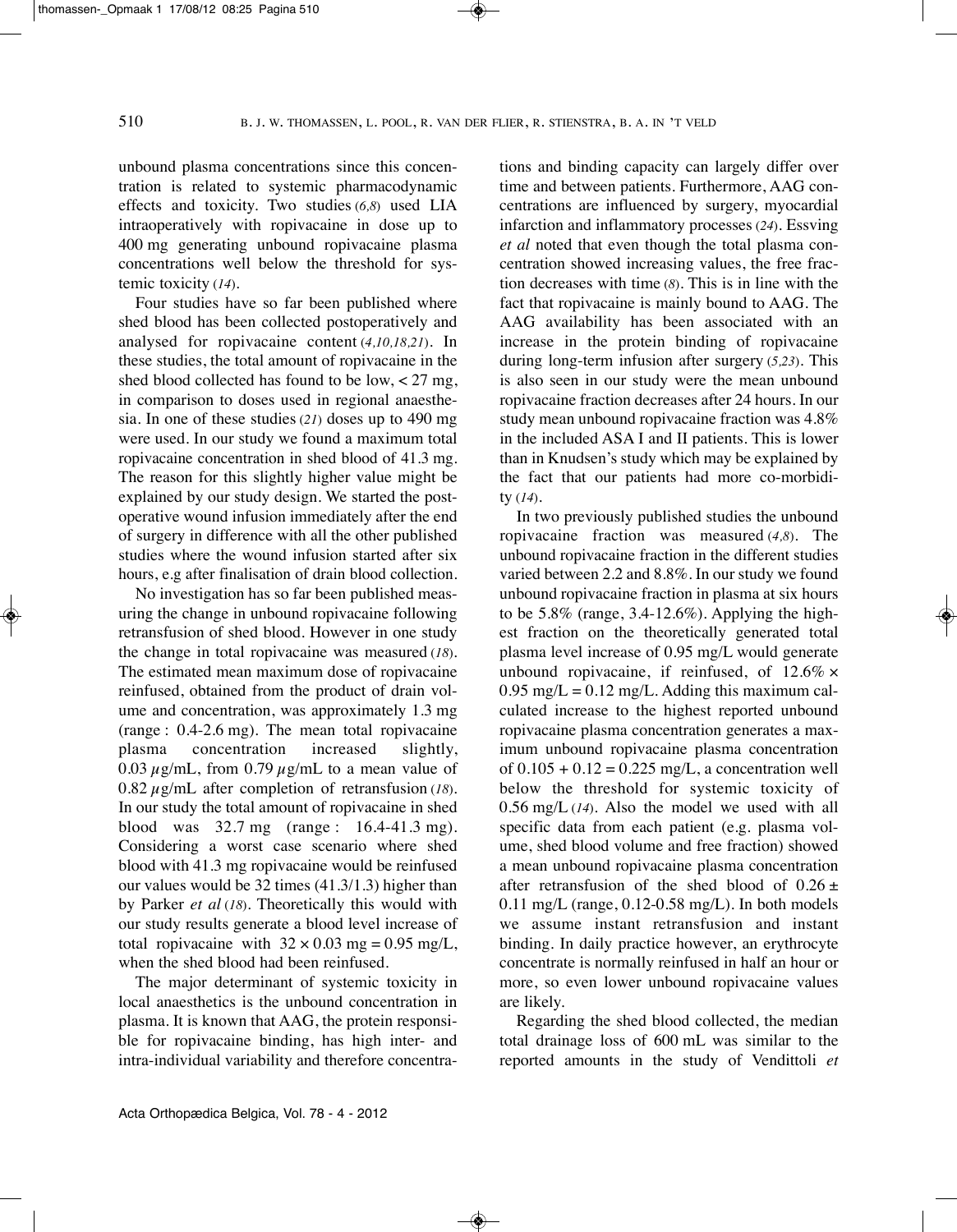unbound plasma concentrations since this concentration is related to systemic pharmacodynamic effects and toxicity. Two studies (*6,8*) used LIA intraoperatively with ropivacaine in dose up to 400 mg generating unbound ropivacaine plasma concentrations well below the threshold for systemic toxicity (*14*).

Four studies have so far been published where shed blood has been collected postoperatively and analysed for ropivacaine content (*4,10,18,21*). In these studies, the total amount of ropivacaine in the shed blood collected has found to be low,  $\lt 27$  mg, in comparison to doses used in regional anaesthesia. In one of these studies (*21*) doses up to 490 mg were used. In our study we found a maximum total ropivacaine concentration in shed blood of 41.3 mg. The reason for this slightly higher value might be explained by our study design. we started the postoperative wound infusion immediately after the end of surgery in difference with all the other published studies where the wound infusion started after six hours, e.g after finalisation of drain blood collection.

No investigation has so far been published measuring the change in unbound ropivacaine following retransfusion of shed blood. however in one study the change in total ropivacaine was measured (*18*). The estimated mean maximum dose of ropivacaine reinfused, obtained from the product of drain volume and concentration, was approximately 1.3 mg (range : 0.4-2.6 mg). The mean total ropivacaine plasma concentration increased slightly, 0.03  $\mu$ g/mL, from 0.79  $\mu$ g/mL to a mean value of 0.82  $\mu$ g/mL after completion of retransfusion (18). In our study the total amount of ropivacaine in shed blood was 32.7 mg (range : 16.4-41.3 mg). Considering a worst case scenario where shed blood with 41.3 mg ropivacaine would be reinfused our values would be 32 times (41.3/1.3) higher than by parker *et al* (*18*). Theoretically this would with our study results generate a blood level increase of total ropivacaine with  $32 \times 0.03$  mg = 0.95 mg/L, when the shed blood had been reinfused.

The major determinant of systemic toxicity in local anaesthetics is the unbound concentration in plasma. It is known that AAG, the protein responsible for ropivacaine binding, has high inter- and intra-individual variability and therefore concentrations and binding capacity can largely differ over time and between patients. Furthermore, AAG concentrations are influenced by surgery, myocardial infarction and inflammatory processes (*24*). Essving *et al* noted that even though the total plasma concentration showed increasing values, the free fraction decreases with time (*8*). This is in line with the fact that ropivacaine is mainly bound to AAG. The AAG availability has been associated with an increase in the protein binding of ropivacaine during long-term infusion after surgery (*5,23*). This is also seen in our study were the mean unbound ropivacaine fraction decreases after 24 hours. In our study mean unbound ropivacaine fraction was 4.8% in the included ASA I and II patients. This is lower than in Knudsen's study which may be explained by the fact that our patients had more co-morbidity (*14*).

In two previously published studies the unbound ropivacaine fraction was measured (*4,8*). The unbound ropivacaine fraction in the different studies varied between 2.2 and 8.8%. In our study we found unbound ropivacaine fraction in plasma at six hours to be  $5.8\%$  (range,  $3.4-12.6\%$ ). Applying the highest fraction on the theoretically generated total plasma level increase of 0.95 mg/L would generate unbound ropivacaine, if reinfused, of 12.6% × 0.95 mg/L =  $0.12$  mg/L. Adding this maximum calculated increase to the highest reported unbound ropivacaine plasma concentration generates a maximum unbound ropivacaine plasma concentration of  $0.105 + 0.12 = 0.225$  mg/L, a concentration well below the threshold for systemic toxicity of 0.56 mg/L (*14*). Also the model we used with all specific data from each patient (e.g. plasma volume, shed blood volume and free fraction) showed a mean unbound ropivacaine plasma concentration after retransfusion of the shed blood of  $0.26 \pm$ 0.11 mg/L (range, 0.12-0.58 mg/L). In both models we assume instant retransfusion and instant binding. In daily practice however, an erythrocyte concentrate is normally reinfused in half an hour or more, so even lower unbound ropivacaine values are likely.

Regarding the shed blood collected, the median total drainage loss of 600 mL was similar to the reported amounts in the study of Vendittoli *et*